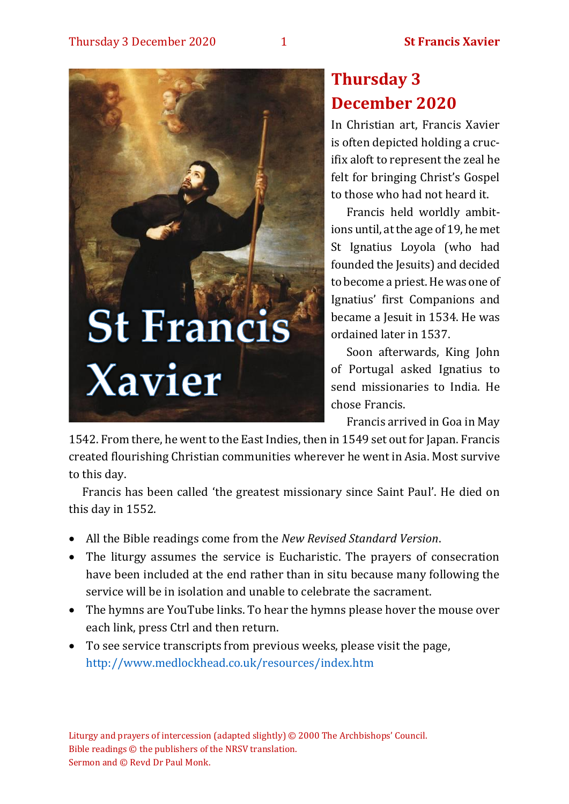

# **Thursday 3 December 2020**

In Christian art, Francis Xavier is often depicted holding a crucifix aloft to represent the zeal he felt for bringing Christ's Gospel to those who had not heard it.

Francis held worldly ambitions until, at the age of 19, he met St Ignatius Loyola (who had founded the Jesuits) and decided to become a priest. He was one of Ignatius' first Companions and became a Jesuit in 1534. He was ordained later in 1537.

Soon afterwards, King John of Portugal asked Ignatius to send missionaries to India. He chose Francis.

Francis arrived in Goa in May

1542. From there, he went to the East Indies, then in 1549 set out for Japan. Francis created flourishing Christian communities wherever he went in Asia. Most survive to this day.

Francis has been called 'the greatest missionary since Saint Paul'. He died on this day in 1552.

- All the Bible readings come from the *New Revised Standard Version*.
- The liturgy assumes the service is Eucharistic. The prayers of consecration have been included at the end rather than in situ because many following the service will be in isolation and unable to celebrate the sacrament.
- The hymns are YouTube links. To hear the hymns please hover the mouse over each link, press Ctrl and then return.
- To see service transcripts from previous weeks, please visit the page, <http://www.medlockhead.co.uk/resources/index.htm>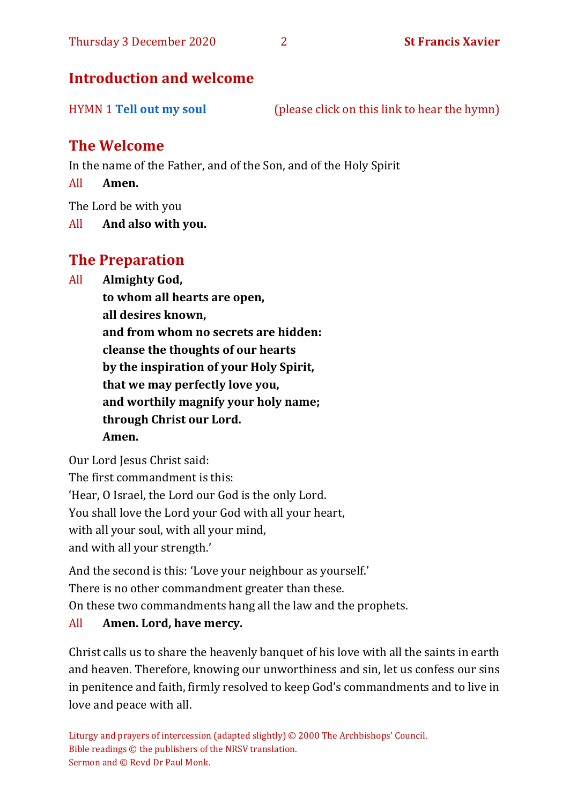# **Introduction and welcome**

| <b>HYMN 1 Tell out my soul</b> | (please click on this link to hear the hymn) |  |
|--------------------------------|----------------------------------------------|--|
|                                |                                              |  |

## **The Welcome**

In the name of the Father, and of the Son, and of the Holy Spirit

All **Amen.**

The Lord be with you

All **And also with you.**

# **The Preparation**

All **Almighty God,**

**to whom all hearts are open, all desires known, and from whom no secrets are hidden: cleanse the thoughts of our hearts by the inspiration of your Holy Spirit, that we may perfectly love you, and worthily magnify your holy name; through Christ our Lord. Amen.**

Our Lord Jesus Christ said: The first commandment is this: 'Hear, O Israel, the Lord our God is the only Lord. You shall love the Lord your God with all your heart, with all your soul, with all your mind, and with all your strength.'

And the second is this: 'Love your neighbour as yourself.'

There is no other commandment greater than these.

On these two commandments hang all the law and the prophets.

#### All **Amen. Lord, have mercy.**

Christ calls us to share the heavenly banquet of his love with all the saints in earth and heaven. Therefore, knowing our unworthiness and sin, let us confess our sins in penitence and faith, firmly resolved to keep God's commandments and to live in love and peace with all.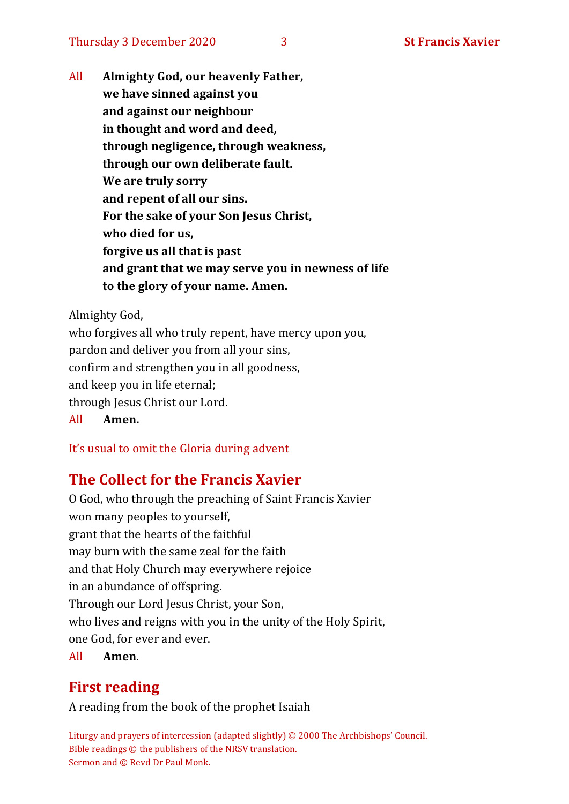All **Almighty God, our heavenly Father, we have sinned against you and against our neighbour in thought and word and deed, through negligence, through weakness, through our own deliberate fault. We are truly sorry and repent of all our sins. For the sake of your Son Jesus Christ, who died for us, forgive us all that is past and grant that we may serve you in newness of life to the glory of your name. Amen.**

Almighty God,

who forgives all who truly repent, have mercy upon you, pardon and deliver you from all your sins, confirm and strengthen you in all goodness, and keep you in life eternal; through Jesus Christ our Lord. All **Amen.**

It's usual to omit the Gloria during advent

### **The Collect for the Francis Xavier**

O God, who through the preaching of Saint Francis Xavier won many peoples to yourself, grant that the hearts of the faithful may burn with the same zeal for the faith and that Holy Church may everywhere rejoice in an abundance of offspring. Through our Lord Jesus Christ, your Son, who lives and reigns with you in the unity of the Holy Spirit, one God, for ever and ever.

All **Amen**.

# **First reading**

A reading from the book of the prophet Isaiah

Liturgy and prayers of intercession (adapted slightly) © 2000 The Archbishops' Council. Bible readings © the publishers of the NRSV translation. Sermon and © Revd Dr Paul Monk.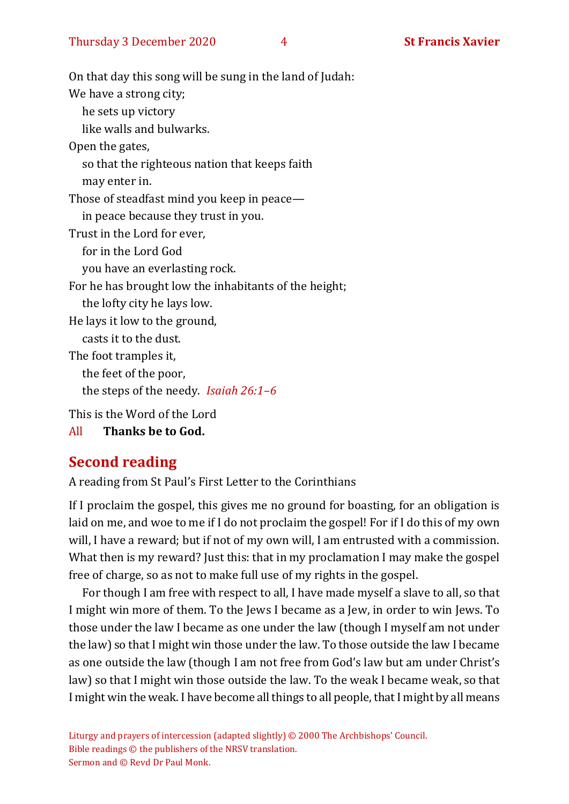On that day this song will be sung in the land of Judah: We have a strong city; he sets up victory like walls and bulwarks. Open the gates, so that the righteous nation that keeps faith may enter in. Those of steadfast mind you keep in peace in peace because they trust in you. Trust in the Lord for ever, for in the Lord God you have an everlasting rock. For he has brought low the inhabitants of the height; the lofty city he lays low. He lays it low to the ground, casts it to the dust. The foot tramples it, the feet of the poor, the steps of the needy. *Isaiah 26:1–6* This is the Word of the Lord All **Thanks be to God.**

# **Second reading**

A reading from St Paul's First Letter to the Corinthians

If I proclaim the gospel, this gives me no ground for boasting, for an obligation is laid on me, and woe to me if I do not proclaim the gospel! For if I do this of my own will, I have a reward; but if not of my own will, I am entrusted with a commission. What then is my reward? Just this: that in my proclamation I may make the gospel free of charge, so as not to make full use of my rights in the gospel.

For though I am free with respect to all, I have made myself a slave to all, so that I might win more of them. To the Jews I became as a Jew, in order to win Jews. To those under the law I became as one under the law (though I myself am not under the law) so that I might win those under the law. To those outside the law I became as one outside the law (though I am not free from God's law but am under Christ's law) so that I might win those outside the law. To the weak I became weak, so that I might win the weak. I have become all things to all people, that I might by all means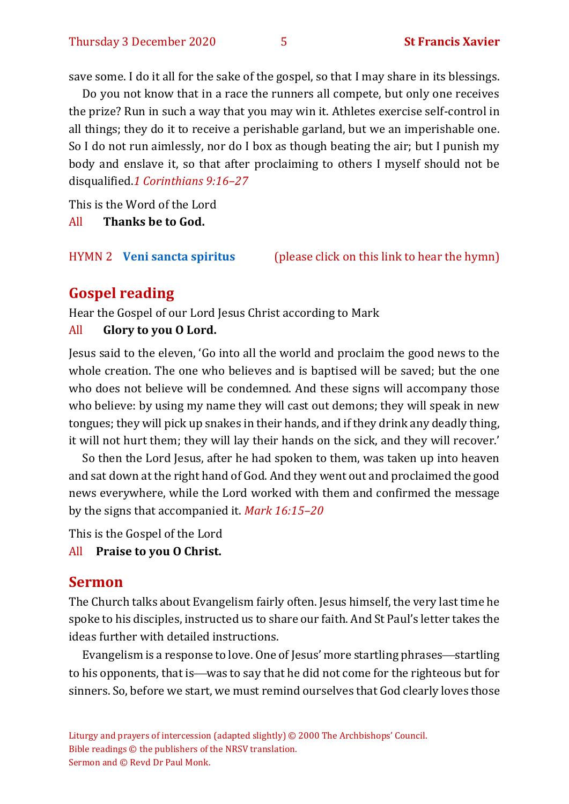save some. I do it all for the sake of the gospel, so that I may share in its blessings.

Do you not know that in a race the runners all compete, but only one receives the prize? Run in such a way that you may win it. Athletes exercise self-control in all things; they do it to receive a perishable garland, but we an imperishable one. So I do not run aimlessly, nor do I box as though beating the air; but I punish my body and enslave it, so that after proclaiming to others I myself should not be disqualified.*1 Corinthians 9:16–27*

This is the Word of the Lord

All **Thanks be to God.**

HYMN 2 **[Veni sancta spiritus](https://www.youtube.com/watch?v=WmxXwAgkhW)** (please click on this link to hear the hymn)

# **Gospel reading**

Hear the Gospel of our Lord Jesus Christ according to Mark

#### All **Glory to you O Lord.**

Jesus said to the eleven, 'Go into all the world and proclaim the good news to the whole creation. The one who believes and is baptised will be saved; but the one who does not believe will be condemned. And these signs will accompany those who believe: by using my name they will cast out demons; they will speak in new tongues; they will pick up snakes in their hands, and if they drink any deadly thing, it will not hurt them; they will lay their hands on the sick, and they will recover.'

So then the Lord Jesus, after he had spoken to them, was taken up into heaven and sat down at the right hand of God. And they went out and proclaimed the good news everywhere, while the Lord worked with them and confirmed the message by the signs that accompanied it. *Mark 16:15–20*

This is the Gospel of the Lord

#### All **Praise to you O Christ.**

#### **Sermon**

The Church talks about Evangelism fairly often. Jesus himself, the very last time he spoke to his disciples, instructed us to share our faith. And St Paul's letter takes the ideas further with detailed instructions.

Evangelism is a response to love. One of Jesus' more startling phrases—startling to his opponents, that is—was to say that he did not come for the righteous but for sinners. So, before we start, we must remind ourselves that God clearly loves those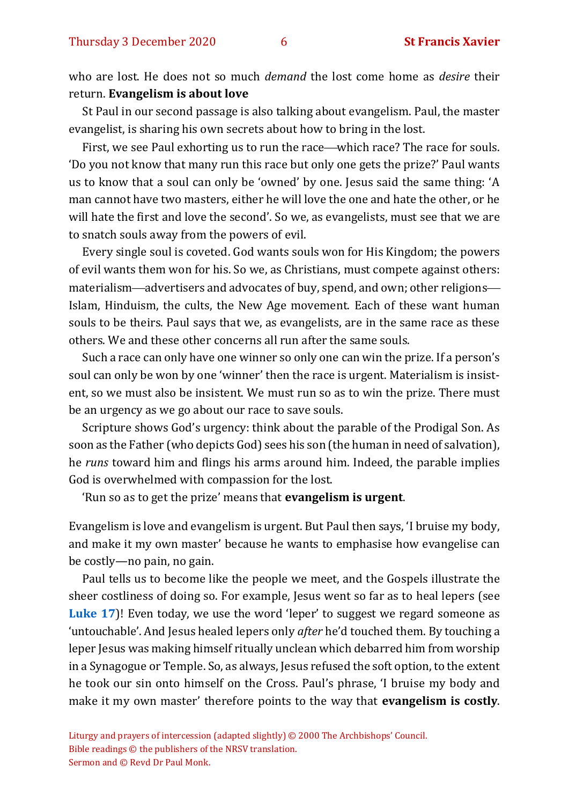who are lost. He does not so much *demand* the lost come home as *desire* their return. **Evangelism is about love**

St Paul in our second passage is also talking about evangelism. Paul, the master evangelist, is sharing his own secrets about how to bring in the lost.

First, we see Paul exhorting us to run the race—which race? The race for souls. 'Do you not know that many run this race but only one gets the prize?' Paul wants us to know that a soul can only be 'owned' by one. Jesus said the same thing: 'A man cannot have two masters, either he will love the one and hate the other, or he will hate the first and love the second'. So we, as evangelists, must see that we are to snatch souls away from the powers of evil.

Every single soul is coveted. God wants souls won for His Kingdom; the powers of evil wants them won for his. So we, as Christians, must compete against others: materialism—advertisers and advocates of buy, spend, and own; other religions— Islam, Hinduism, the cults, the New Age movement. Each of these want human souls to be theirs. Paul says that we, as evangelists, are in the same race as these others. We and these other concerns all run after the same souls.

Such a race can only have one winner so only one can win the prize. If a person's soul can only be won by one 'winner' then the race is urgent. Materialism is insistent, so we must also be insistent. We must run so as to win the prize. There must be an urgency as we go about our race to save souls.

Scripture shows God's urgency: think about the parable of the Prodigal Son. As soon as the Father (who depicts God) sees his son (the human in need of salvation), he *runs* toward him and flings his arms around him. Indeed, the parable implies God is overwhelmed with compassion for the lost.

'Run so as to get the prize' means that **evangelism is urgent**.

Evangelism is love and evangelism is urgent. But Paul then says, 'I bruise my body, and make it my own master' because he wants to emphasise how evangelise can be costly—no pain, no gain.

Paul tells us to become like the people we meet, and the Gospels illustrate the sheer costliness of doing so. For example, Jesus went so far as to heal lepers (see [Luke 17](https://www.biblegateway.com/passage/?search=Luke%2017%3A11-19&version=NIV))! Even today, we use the word 'leper' to suggest we regard someone as 'untouchable'. And Jesus healed lepers only *after* he'd touched them. By touching a leper Jesus was making himself ritually unclean which debarred him from worship in a Synagogue or Temple. So, as always, Jesus refused the soft option, to the extent he took our sin onto himself on the Cross. Paul's phrase, 'I bruise my body and make it my own master' therefore points to the way that **evangelism is costly**.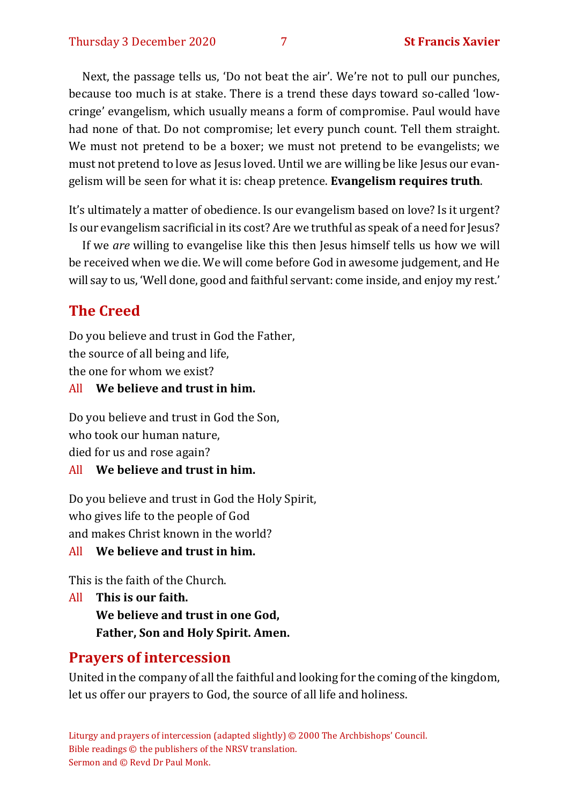Next, the passage tells us, 'Do not beat the air'. We're not to pull our punches, because too much is at stake. There is a trend these days toward so-called 'lowcringe' evangelism, which usually means a form of compromise. Paul would have had none of that. Do not compromise; let every punch count. Tell them straight. We must not pretend to be a boxer; we must not pretend to be evangelists; we must not pretend to love as Jesus loved. Until we are willing be like Jesus our evangelism will be seen for what it is: cheap pretence. **Evangelism requires truth**.

It's ultimately a matter of obedience. Is our evangelism based on love? Is it urgent? Is our evangelism sacrificial in its cost? Are we truthful as speak of a need for Jesus?

If we *are* willing to evangelise like this then Jesus himself tells us how we will be received when we die. We will come before God in awesome judgement, and He will say to us, 'Well done, good and faithful servant: come inside, and enjoy my rest.'

# **The Creed**

Do you believe and trust in God the Father, the source of all being and life, the one for whom we exist? All **We believe and trust in him.**

Do you believe and trust in God the Son, who took our human nature, died for us and rose again? All **We believe and trust in him.**

Do you believe and trust in God the Holy Spirit, who gives life to the people of God and makes Christ known in the world?

All **We believe and trust in him.**

This is the faith of the Church.

All **This is our faith. We believe and trust in one God, Father, Son and Holy Spirit. Amen.**

# **Prayers of intercession**

United in the company of all the faithful and looking for the coming of the kingdom, let us offer our prayers to God, the source of all life and holiness.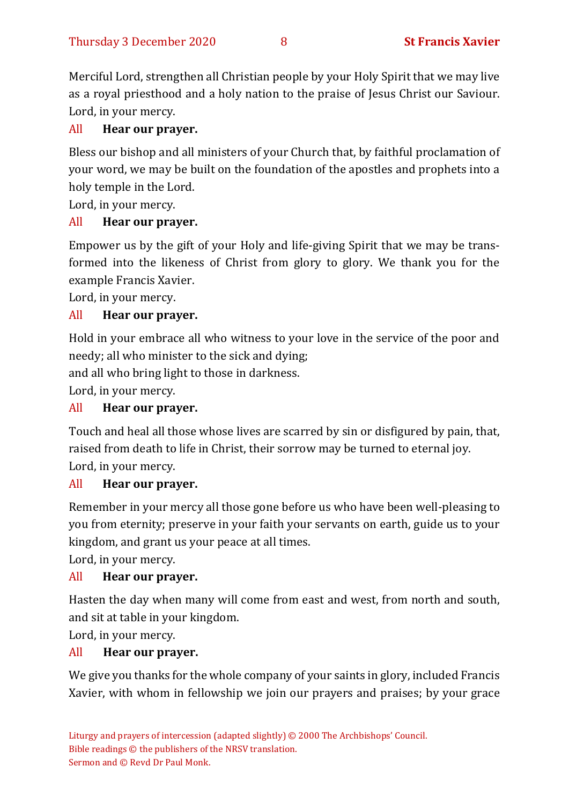Merciful Lord, strengthen all Christian people by your Holy Spirit that we may live as a royal priesthood and a holy nation to the praise of Jesus Christ our Saviour. Lord, in your mercy.

#### All **Hear our prayer.**

Bless our bishop and all ministers of your Church that, by faithful proclamation of your word, we may be built on the foundation of the apostles and prophets into a holy temple in the Lord.

Lord, in your mercy.

#### All **Hear our prayer.**

Empower us by the gift of your Holy and life-giving Spirit that we may be transformed into the likeness of Christ from glory to glory. We thank you for the example Francis Xavier.

Lord, in your mercy.

#### All **Hear our prayer.**

Hold in your embrace all who witness to your love in the service of the poor and needy; all who minister to the sick and dying;

and all who bring light to those in darkness.

Lord, in your mercy.

#### All **Hear our prayer.**

Touch and heal all those whose lives are scarred by sin or disfigured by pain, that, raised from death to life in Christ, their sorrow may be turned to eternal joy. Lord, in your mercy.

#### All **Hear our prayer.**

Remember in your mercy all those gone before us who have been well-pleasing to you from eternity; preserve in your faith your servants on earth, guide us to your kingdom, and grant us your peace at all times.

Lord, in your mercy.

#### All **Hear our prayer.**

Hasten the day when many will come from east and west, from north and south, and sit at table in your kingdom.

Lord, in your mercy.

#### All **Hear our prayer.**

We give you thanks for the whole company of your saints in glory, included Francis Xavier, with whom in fellowship we join our prayers and praises; by your grace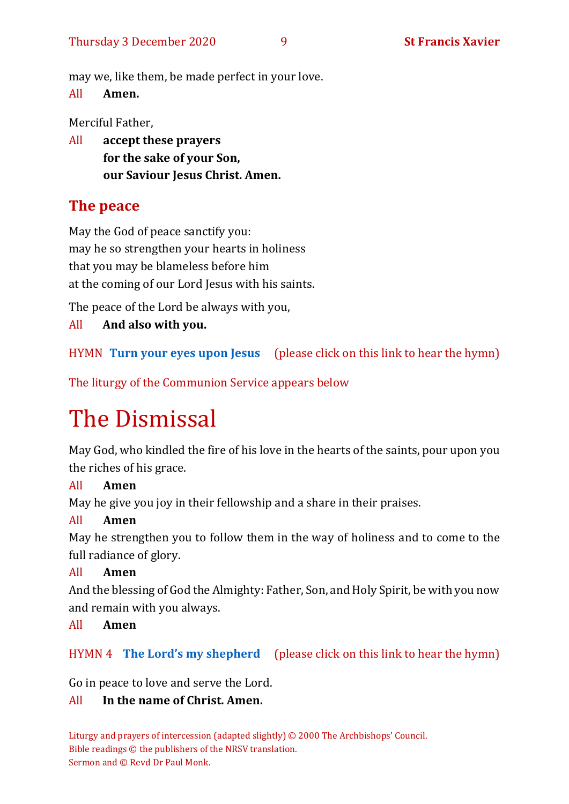may we, like them, be made perfect in your love.

All **Amen.**

Merciful Father,

All **accept these prayers for the sake of your Son, our Saviour Jesus Christ. Amen.**

# **The peace**

May the God of peace sanctify you: may he so strengthen your hearts in holiness that you may be blameless before him at the coming of our Lord Jesus with his saints.

The peace of the Lord be always with you,

All **And also with you.**

HYMN **[Turn your eyes upon Jesus](https://youtu.be/zTZtKoAwf0U)** (please click on this link to hear the hymn)

The liturgy of the Communion Service appears below

# The Dismissal

May God, who kindled the fire of his love in the hearts of the saints, pour upon you the riches of his grace.

#### All **Amen**

May he give you joy in their fellowship and a share in their praises.

#### All **Amen**

May he strengthen you to follow them in the way of holiness and to come to the full radiance of glory.

#### All **Amen**

And the blessing of God the Almighty: Father, Son, and Holy Spirit, be with you now and remain with you always.

All **Amen** 

#### HYMN 4 **[The Lord's my shepherd](https://www.youtube.com/watch?v=IDAIwMvFcXQ)** (please click on this link to hear the hymn)

Go in peace to love and serve the Lord.

#### All **In the name of Christ. Amen.**

Liturgy and prayers of intercession (adapted slightly) © 2000 The Archbishops' Council. Bible readings © the publishers of the NRSV translation. Sermon and © Revd Dr Paul Monk.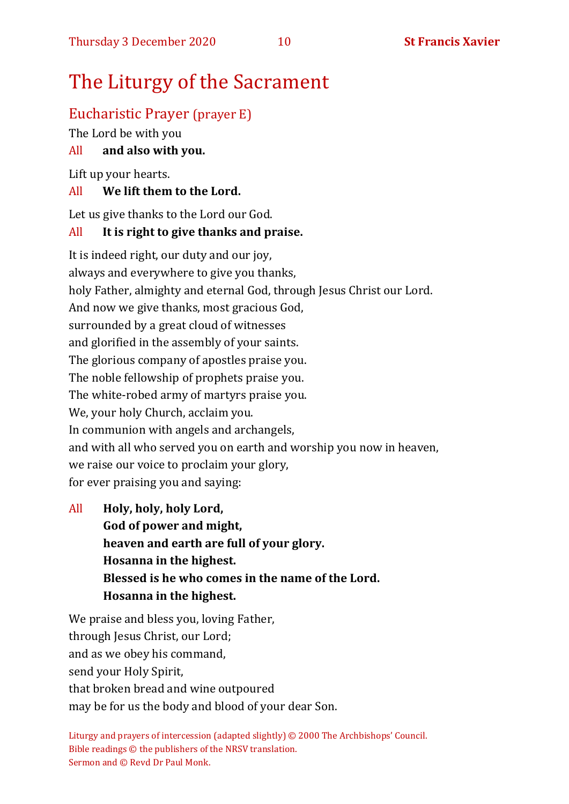# The Liturgy of the Sacrament

# Eucharistic Prayer (prayer E)

The Lord be with you

# All **and also with you.**

Lift up your hearts.

# All **We lift them to the Lord.**

Let us give thanks to the Lord our God.

# All **It is right to give thanks and praise.**

It is indeed right, our duty and our joy, always and everywhere to give you thanks, holy Father, almighty and eternal God, through Jesus Christ our Lord. And now we give thanks, most gracious God, surrounded by a great cloud of witnesses and glorified in the assembly of your saints. The glorious company of apostles praise you. The noble fellowship of prophets praise you. The white-robed army of martyrs praise you. We, your holy Church, acclaim you. In communion with angels and archangels, and with all who served you on earth and worship you now in heaven, we raise our voice to proclaim your glory, for ever praising you and saying:

All **Holy, holy, holy Lord, God of power and might, heaven and earth are full of your glory. Hosanna in the highest. Blessed is he who comes in the name of the Lord. Hosanna in the highest.**

We praise and bless you, loving Father, through Jesus Christ, our Lord; and as we obey his command, send your Holy Spirit, that broken bread and wine outpoured may be for us the body and blood of your dear Son.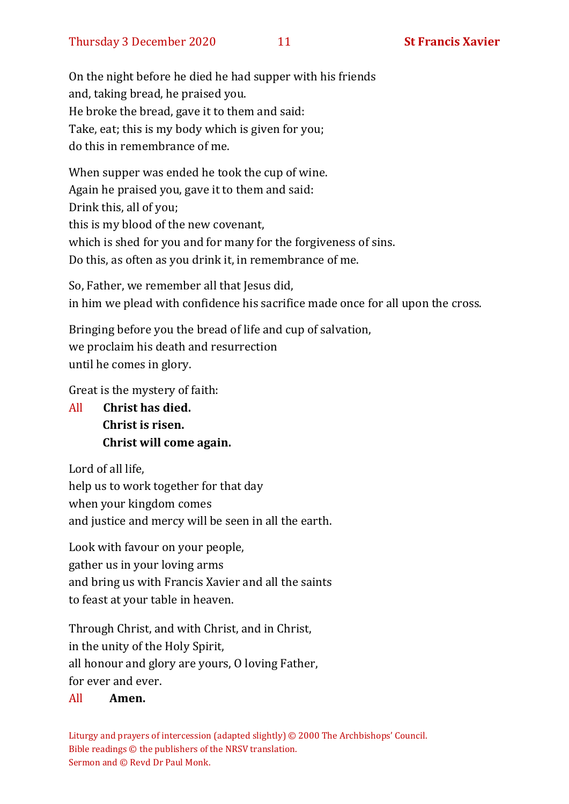On the night before he died he had supper with his friends and, taking bread, he praised you. He broke the bread, gave it to them and said: Take, eat; this is my body which is given for you; do this in remembrance of me.

When supper was ended he took the cup of wine. Again he praised you, gave it to them and said: Drink this, all of you; this is my blood of the new covenant, which is shed for you and for many for the forgiveness of sins. Do this, as often as you drink it, in remembrance of me.

So, Father, we remember all that Jesus did, in him we plead with confidence his sacrifice made once for all upon the cross.

Bringing before you the bread of life and cup of salvation, we proclaim his death and resurrection until he comes in glory.

Great is the mystery of faith:

All **Christ has died. Christ is risen. Christ will come again.**

Lord of all life, help us to work together for that day when your kingdom comes and justice and mercy will be seen in all the earth.

Look with favour on your people, gather us in your loving arms and bring us with Francis Xavier and all the saints to feast at your table in heaven.

Through Christ, and with Christ, and in Christ, in the unity of the Holy Spirit, all honour and glory are yours, O loving Father, for ever and ever.

#### All **Amen.**

Liturgy and prayers of intercession (adapted slightly) © 2000 The Archbishops' Council. Bible readings © the publishers of the NRSV translation. Sermon and © Revd Dr Paul Monk.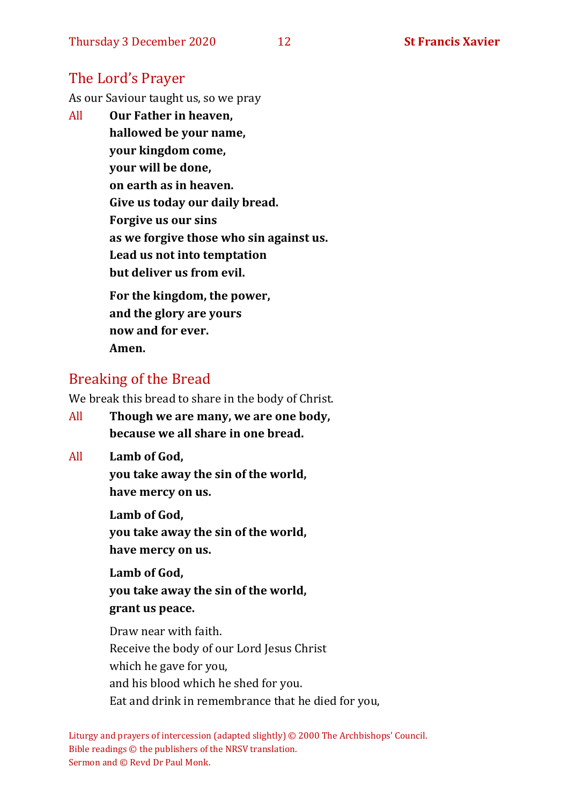### The Lord's Prayer

As our Saviour taught us, so we pray

All **Our Father in heaven, hallowed be your name, your kingdom come, your will be done, on earth as in heaven. Give us today our daily bread. Forgive us our sins as we forgive those who sin against us. Lead us not into temptation but deliver us from evil. For the kingdom, the power, and the glory are yours**

**now and for ever.** 

**Amen.**

## Breaking of the Bread

We break this bread to share in the body of Christ.

All **Though we are many, we are one body, because we all share in one bread.**

All **Lamb of God, you take away the sin of the world, have mercy on us.**

> **Lamb of God, you take away the sin of the world, have mercy on us.**

> **Lamb of God, you take away the sin of the world, grant us peace.**

Draw near with faith. Receive the body of our Lord Jesus Christ which he gave for you, and his blood which he shed for you. Eat and drink in remembrance that he died for you,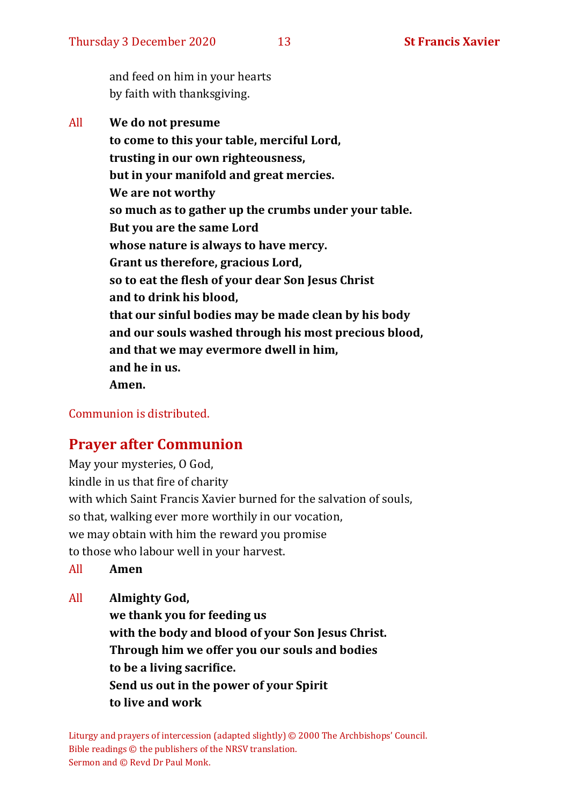and feed on him in your hearts by faith with thanksgiving.

All **We do not presume to come to this your table, merciful Lord, trusting in our own righteousness, but in your manifold and great mercies. We are not worthy so much as to gather up the crumbs under your table. But you are the same Lord whose nature is always to have mercy. Grant us therefore, gracious Lord, so to eat the flesh of your dear Son Jesus Christ and to drink his blood, that our sinful bodies may be made clean by his body and our souls washed through his most precious blood, and that we may evermore dwell in him, and he in us. Amen.**

Communion is distributed.

# **Prayer after Communion**

May your mysteries, O God, kindle in us that fire of charity with which Saint Francis Xavier burned for the salvation of souls, so that, walking ever more worthily in our vocation, we may obtain with him the reward you promise to those who labour well in your harvest.

All **Amen**

All **Almighty God,**

**we thank you for feeding us with the body and blood of your Son Jesus Christ. Through him we offer you our souls and bodies to be a living sacrifice. Send us out in the power of your Spirit to live and work**